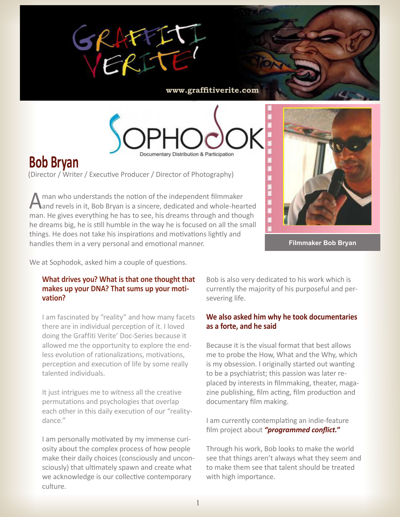

**www.graffitiverite.com**



# **Bob Bryan**

(Director / Writer / Executive Producer / Director of Photography)

Aman who understands the notion of the independent filmmaker<br>And revels in it, Bob Bryan is a sincere, dedicated and whole-hearted man. He gives everything he has to see, his dreams through and though he dreams big, he is still humble in the way he is focused on all the small things. He does not take his inspirations and motivations lightly and handles them in a very personal and emotional manner.



**Filmmaker Bob Bryan**

We at Sophodok, asked him a couple of questions.

#### **What drives you? What is that one thought that makes up your DNA? That sums up your motivation?**

I am fascinated by "reality" and how many facets there are in individual perception of it. I loved doing the Graffiti Verite' Doc-Series because it allowed me the opportunity to explore the endless evolution of rationalizations, motivations, perception and execution of life by some really talented individuals.

It just intrigues me to witness all the creative permutations and psychologies that overlap each other in this daily execution of our "realitydance."

I am personally motivated by my immense curiosity about the complex process of how people make their daily choices (consciously and unconsciously) that ultimately spawn and create what we acknowledge is our collective contemporary culture.

Bob is also very dedicated to his work which is currently the majority of his purposeful and persevering life.

## **We also asked him why he took documentaries as a forte, and he said**

Because it is the visual format that best allows me to probe the How, What and the Why, which is my obsession. I originally started out wanting to be a psychiatrist; this passion was later replaced by interests in filmmaking, theater, magazine publishing, film acting, film production and documentary film making.

I am currently contemplating an indie-feature film project about *"programmed conflict."*

Through his work, Bob looks to make the world see that things aren't always what they seem and to make them see that talent should be treated with high importance.